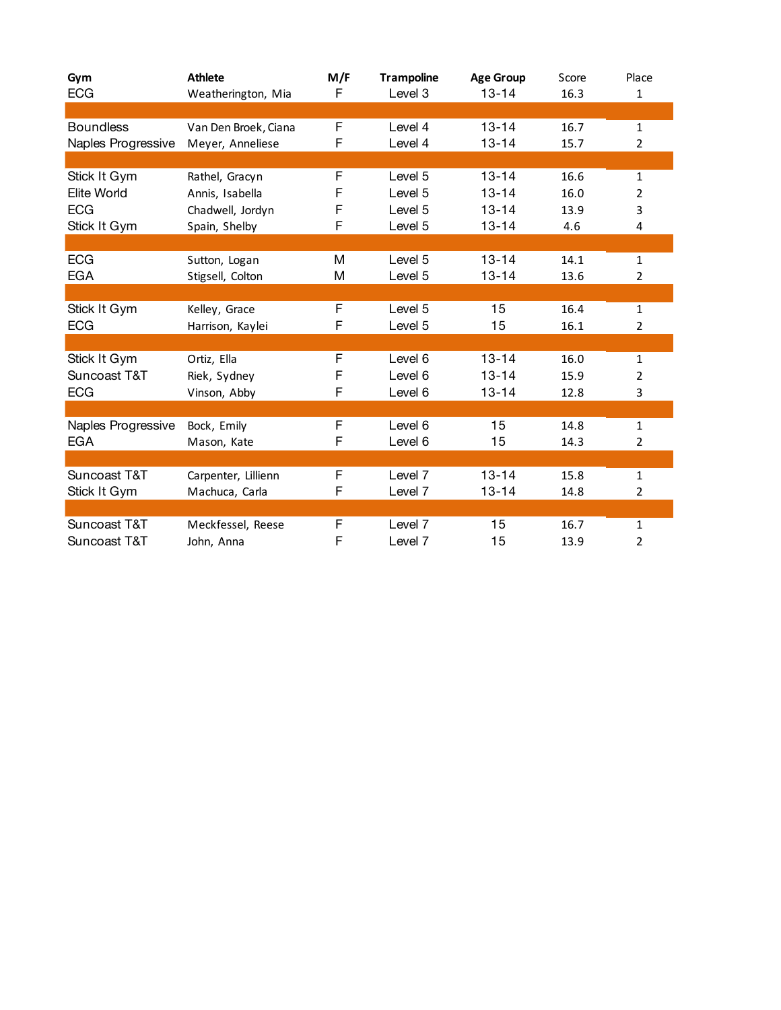| Gym<br><b>ECG</b>  | <b>Athlete</b><br>Weatherington, Mia | M/F<br>F | <b>Trampoline</b><br>Level 3 | <b>Age Group</b><br>$13 - 14$ | Score<br>16.3 | Place<br>1     |
|--------------------|--------------------------------------|----------|------------------------------|-------------------------------|---------------|----------------|
|                    |                                      |          |                              |                               |               |                |
| <b>Boundless</b>   | Van Den Broek, Ciana                 | F        | Level 4                      | $13 - 14$                     | 16.7          | $\mathbf{1}$   |
| Naples Progressive | Meyer, Anneliese                     | F        | Level 4                      | $13 - 14$                     | 15.7          | 2              |
|                    |                                      |          |                              |                               |               |                |
| Stick It Gym       | Rathel, Gracyn                       | F        | Level 5                      | $13 - 14$                     | 16.6          | $\mathbf{1}$   |
| Elite World        | Annis, Isabella                      | F        | Level 5                      | $13 - 14$                     | 16.0          | 2              |
| <b>ECG</b>         | Chadwell, Jordyn                     | F        | Level 5                      | $13 - 14$                     | 13.9          | 3              |
| Stick It Gym       | Spain, Shelby                        | F        | Level 5                      | $13 - 14$                     | 4.6           | 4              |
|                    |                                      |          |                              |                               |               |                |
| <b>ECG</b>         | Sutton, Logan                        | M        | Level 5                      | $13 - 14$                     | 14.1          | $\mathbf{1}$   |
| EGA                | Stigsell, Colton                     | M        | Level 5                      | $13 - 14$                     | 13.6          | 2              |
|                    |                                      |          |                              |                               |               |                |
| Stick It Gym       | Kelley, Grace                        | F        | Level 5                      | 15                            | 16.4          | $\mathbf{1}$   |
| <b>ECG</b>         | Harrison, Kaylei                     | F        | Level 5                      | 15                            | 16.1          | 2              |
|                    |                                      |          |                              |                               |               |                |
| Stick It Gym       | Ortiz, Ella                          | F        | Level 6                      | $13 - 14$                     | 16.0          | 1              |
| Suncoast T&T       | Riek, Sydney                         | F        | Level 6                      | $13 - 14$                     | 15.9          | $\overline{2}$ |
| <b>ECG</b>         | Vinson, Abby                         | F        | Level 6                      | $13 - 14$                     | 12.8          | 3              |
|                    |                                      |          |                              |                               |               |                |
| Naples Progressive | Bock, Emily                          | F        | Level 6                      | 15                            | 14.8          | 1              |
| EGA                | Mason, Kate                          | F        | Level 6                      | 15                            | 14.3          | 2              |
|                    |                                      |          |                              |                               |               |                |
| Suncoast T&T       | Carpenter, Lillienn                  | F        | Level 7                      | $13 - 14$                     | 15.8          | 1              |
| Stick It Gym       | Machuca, Carla                       | F        | Level 7                      | $13 - 14$                     | 14.8          | 2              |
|                    |                                      |          |                              |                               |               |                |
| Suncoast T&T       | Meckfessel, Reese                    | F        | Level 7                      | 15                            | 16.7          | 1              |
| Suncoast T&T       | John, Anna                           | F        | Level 7                      | 15                            | 13.9          | 2              |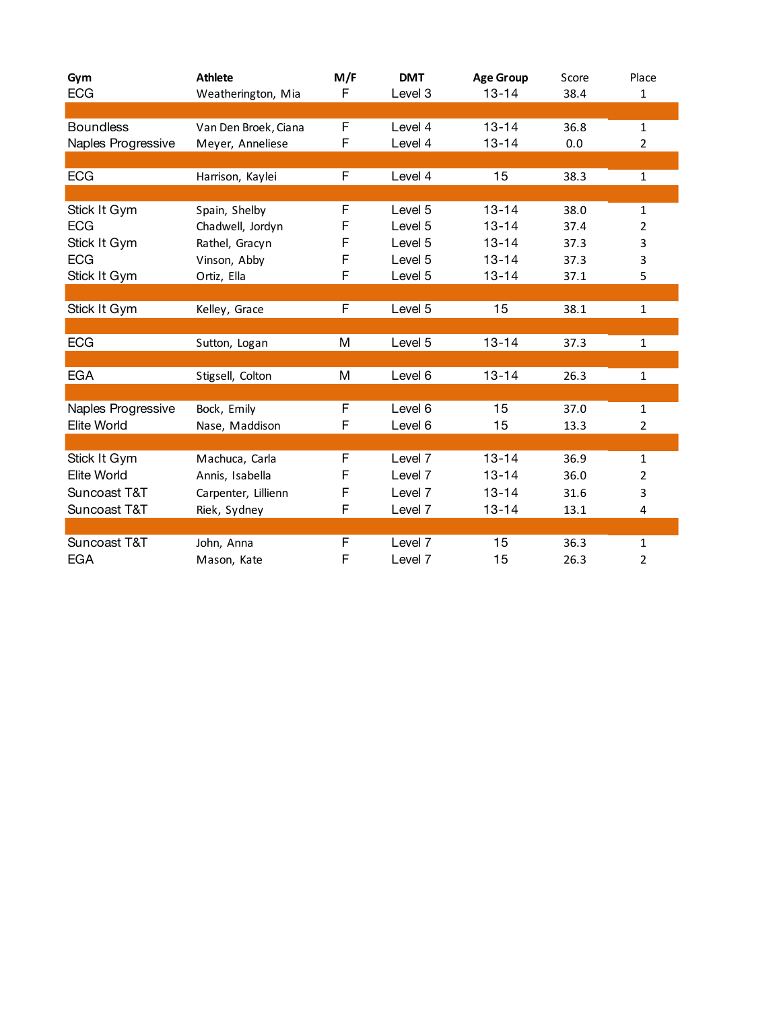| Gym<br><b>ECG</b>  | <b>Athlete</b><br>Weatherington, Mia | M/F<br>F | <b>DMT</b><br>Level 3 | <b>Age Group</b><br>$13 - 14$ | Score<br>38.4 | Place<br>$\mathbf{1}$ |
|--------------------|--------------------------------------|----------|-----------------------|-------------------------------|---------------|-----------------------|
|                    |                                      |          |                       |                               |               |                       |
| <b>Boundless</b>   | Van Den Broek, Ciana                 | F        | Level 4               | $13 - 14$                     | 36.8          | $\mathbf{1}$          |
| Naples Progressive | Meyer, Anneliese                     | F        | Level 4               | $13 - 14$                     | 0.0           | $\overline{2}$        |
|                    |                                      |          |                       |                               |               |                       |
| <b>ECG</b>         | Harrison, Kaylei                     | F        | Level 4               | 15                            | 38.3          | $\mathbf{1}$          |
|                    |                                      |          |                       |                               |               |                       |
| Stick It Gym       | Spain, Shelby                        | F        | Level 5               | $13 - 14$                     | 38.0          | 1                     |
| <b>ECG</b>         | Chadwell, Jordyn                     | F        | Level 5               | $13 - 14$                     | 37.4          | $\overline{2}$        |
| Stick It Gym       | Rathel, Gracyn                       | F        | Level 5               | $13 - 14$                     | 37.3          | 3                     |
| <b>ECG</b>         | Vinson, Abby                         | F        | Level 5               | $13 - 14$                     | 37.3          | 3                     |
| Stick It Gym       | Ortiz, Ella                          | F        | Level 5               | $13 - 14$                     | 37.1          | 5                     |
|                    |                                      |          |                       |                               |               |                       |
| Stick It Gym       | Kelley, Grace                        | F        | Level 5               | 15                            | 38.1          | $\mathbf 1$           |
|                    |                                      |          |                       |                               |               |                       |
| <b>ECG</b>         | Sutton, Logan                        | M        | Level 5               | $13 - 14$                     | 37.3          | $\mathbf{1}$          |
|                    |                                      |          |                       |                               |               |                       |
| <b>EGA</b>         | Stigsell, Colton                     | M        | Level 6               | $13 - 14$                     | 26.3          | $\mathbf{1}$          |
|                    |                                      |          |                       |                               |               |                       |
| Naples Progressive | Bock, Emily                          | F        | Level 6               | 15                            | 37.0          | $\mathbf{1}$          |
| Elite World        | Nase, Maddison                       | F        | Level 6               | 15                            | 13.3          | $\overline{2}$        |
|                    |                                      |          |                       |                               |               |                       |
| Stick It Gym       | Machuca, Carla                       | F        | Level 7               | $13 - 14$                     | 36.9          | $\mathbf{1}$          |
| Elite World        | Annis, Isabella                      | F        | Level 7               | $13 - 14$                     | 36.0          | $\overline{2}$        |
| Suncoast T&T       | Carpenter, Lillienn                  | F        | Level 7               | $13 - 14$                     | 31.6          | 3                     |
| Suncoast T&T       | Riek, Sydney                         | F        | Level 7               | $13 - 14$                     | 13.1          | 4                     |
|                    |                                      |          |                       |                               |               |                       |
| Suncoast T&T       | John, Anna                           | F        | Level 7               | 15                            | 36.3          | $\mathbf{1}$          |
| <b>EGA</b>         | Mason, Kate                          | F        | Level 7               | 15                            | 26.3          | $\overline{2}$        |